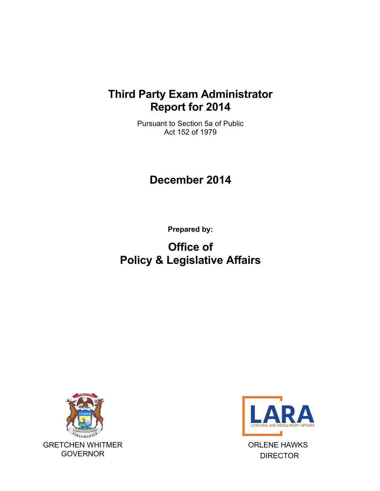## **Third Party Exam Administrator Report for 2014**

Pursuant to Section 5a of Public Act 152 of 1979

## **December 2014**

**Prepared by:**

# **Office of Policy & Legislative Affairs**





ORLENE HAWKS DIRECTOR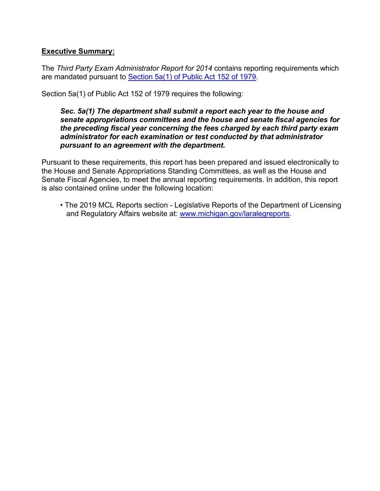### **Executive Summary:**

The *Third Party Exam Administrator Report for 2014* contains reporting requirements which are mandated pursuant to [Section 5a\(1\) of Public Act 152 of 1979.](http://www.legislature.mi.gov/(S(yfgql5jzjssepm3qxw3g0qhd))/mileg.aspx?page=GetObject&objectname=mcl-338-2205a)

Section 5a(1) of Public Act 152 of 1979 requires the following:

#### *Sec. 5a(1) The department shall submit a report each year to the house and senate appropriations committees and the house and senate fiscal agencies for the preceding fiscal year concerning the fees charged by each third party exam administrator for each examination or test conducted by that administrator pursuant to an agreement with the department.*

Pursuant to these requirements, this report has been prepared and issued electronically to the House and Senate Appropriations Standing Committees, as well as the House and Senate Fiscal Agencies, to meet the annual reporting requirements. In addition, this report is also contained online under the following location:

• The 2019 MCL Reports section - Legislative Reports of the Department of Licensing and Regulatory Affairs website at: [www.michigan.gov/laral](http://www.michigan.gov/lara)egreports.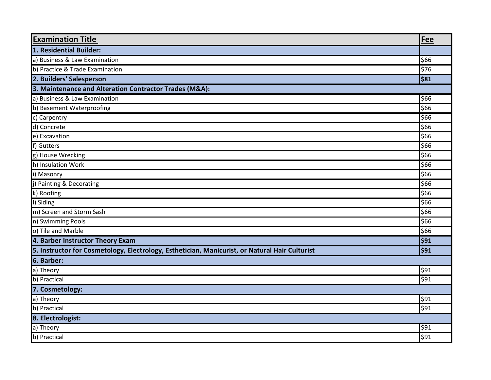| <b>Examination Title</b>                                                                       | Fee  |  |
|------------------------------------------------------------------------------------------------|------|--|
| 1. Residential Builder:                                                                        |      |  |
| a) Business & Law Examination                                                                  | \$66 |  |
| b) Practice & Trade Examination                                                                | \$76 |  |
| 2. Builders' Salesperson                                                                       | \$81 |  |
| 3. Maintenance and Alteration Contractor Trades (M&A):                                         |      |  |
| a) Business & Law Examination                                                                  | \$66 |  |
| b) Basement Waterproofing                                                                      | \$66 |  |
| c) Carpentry                                                                                   | \$66 |  |
| d) Concrete                                                                                    | \$66 |  |
| e) Excavation                                                                                  | \$66 |  |
| f) Gutters                                                                                     | \$66 |  |
| g) House Wrecking                                                                              | \$66 |  |
| h) Insulation Work                                                                             | \$66 |  |
| i) Masonry                                                                                     | \$66 |  |
| j) Painting & Decorating                                                                       | \$66 |  |
| k) Roofing                                                                                     | \$66 |  |
| I) Siding                                                                                      | \$66 |  |
| m) Screen and Storm Sash                                                                       | \$66 |  |
| n) Swimming Pools                                                                              | \$66 |  |
| o) Tile and Marble                                                                             | \$66 |  |
| 4. Barber Instructor Theory Exam                                                               | \$91 |  |
| 5. Instructor for Cosmetology, Electrology, Esthetician, Manicurist, or Natural Hair Culturist | \$91 |  |
| 6. Barber:                                                                                     |      |  |
| a) Theory                                                                                      | \$91 |  |
| b) Practical                                                                                   | \$91 |  |
| 7. Cosmetology:                                                                                |      |  |
| a) Theory                                                                                      | \$91 |  |
| b) Practical                                                                                   | \$91 |  |
| 8. Electrologist:                                                                              |      |  |
| a) Theory                                                                                      | \$91 |  |
| b) Practical                                                                                   | \$91 |  |